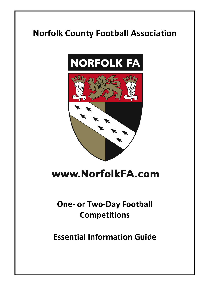

# www.NorfolkFA.com

# **One- or Two-Day Football Competitions**

**Essential Information Guide**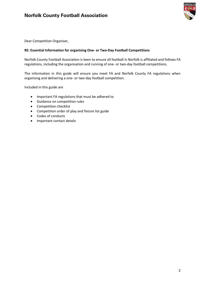

Dear Competition Organiser,

## **RE: Essential Information for organising One- or Two-Day Football Competitions**

Norfolk County Football Association is keen to ensure all football in Norfolk is affiliated and follows FA regulations, including the organisation and running of one- or two-day football competitions.

The information in this guide will ensure you meet FA and Norfolk County FA regulations when organising and delivering a one- or two-day football competition.

Included in this guide are

- Important FA regulations that must be adhered to
- Guidance on competition rules
- Competition checklist
- Competition order of play and fixture list guide
- Codes of conducts
- Important contact details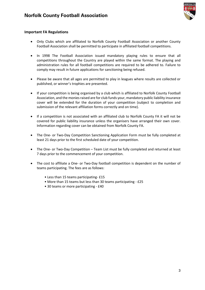

## **Important FA Regulations**

- Only Clubs which are affiliated to Norfolk County Football Association or another County Football Association shall be permitted to participate in affiliated football competitions.
- In 1998 The Football Association issued mandatory playing rules to ensure that all competitions throughout the Country are played within the same format. The playing and administration rules for all football competitions are required to be adhered to. Failure to comply may result in future applications for sanctioning being refused.
- Please be aware that all ages are permitted to play in leagues where results are collected or published, or winner's trophies are presented.
- If your competition is being organised by a club which is affiliated to Norfolk County Football Association, and the monies raised are for club funds your, mandatory public liability insurance cover will be extended for the duration of your competition (subject to completion and submission of the relevant affiliation forms correctly and on time).
- If a competition is not associated with an affiliated club to Norfolk County FA it will not be covered for public liability insurance unless the organisers have arranged their own cover. Information regarding cover can be obtained from Norfolk County FA.
- The One- or Two-Day Competition Sanctioning Application Form must be fully completed at least 21 days prior to the first scheduled date of your competition.
- The One- or Two-Day Competition Team List must be fully completed and returned at least 7 days prior to the commencement of your competition.
- The cost to affiliate a One- or Two-Day football competition is dependent on the number of teams participating. The fees are as follows:
	- Less than 15 teams participating- £15
	- More than 15 teams but less than 30 teams participating £25
	- 30 teams or more participating £40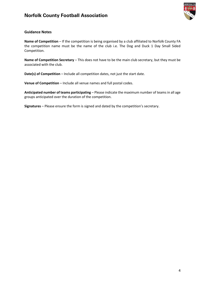

## **Guidance Notes**

**Name of Competition** – If the competition is being organised by a club affiliated to Norfolk County FA the competition name must be the name of the club i.e. The Dog and Duck 1 Day Small Sided Competition.

**Name of Competition Secretary** – This does not have to be the main club secretary, but they must be associated with the club.

**Date(s) of Competition** – Include all competition dates, not just the start date.

**Venue of Competition** – Include all venue names and full postal codes.

**Anticipated number of teams participating** – Please indicate the maximum number of teams in all age groups anticipated over the duration of the competition.

**Signatures** – Please ensure the form is signed and dated by the competition's secretary.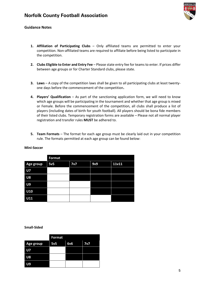

## **Guidance Notes**

- **1. Affiliation of Participating Clubs** Only affiliated teams are permitted to enter your competition. Non-affiliated teams are required to affiliate before being listed to participate in the competition.
- **2. Clubs Eligible to Enter and Entry Fee** Please state entry fee for teams to enter. If prices differ between age groups or for Charter Standard clubs, please state.
- **3. Laws** A copy of the competition laws shall be given to all participating clubs at least twentyone days before the commencement of the competition**.**
- **4. Players' Qualification** As part of the sanctioning application form, we will need to know which age groups will be participating in the tournament and whether that age group is mixed or Female. Before the commencement of the competition, all clubs shall produce a list of players (including dates of birth for youth football). All players should be bona fide members of their listed clubs. Temporary registration forms are available – Please not all normal player registration and transfer rules **MUST** be adhered to.
- **5. Team Formats** The format for each age group must be clearly laid out in your competition rule. The formats permitted at each age group can be found below:

|           | <b>Format</b> |     |     |       |  |
|-----------|---------------|-----|-----|-------|--|
| Age group | 5v5           | 7v7 | 9v9 | 11v11 |  |
| <b>U7</b> |               |     |     |       |  |
| <b>U8</b> |               |     |     |       |  |
| U9        |               |     |     |       |  |
| U10       |               |     |     |       |  |
| U11       |               |     |     |       |  |

#### **Mini-Soccer**

**Small-Sided** 

|           | <b>Format</b> |     |     |
|-----------|---------------|-----|-----|
| Age group | 5v5           | 6v6 | 7v7 |
| U7        |               |     |     |
| U8        |               |     |     |
| U9        |               |     |     |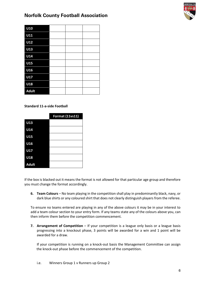

| U10          |  |  |
|--------------|--|--|
| U11          |  |  |
| U12          |  |  |
| U13          |  |  |
| U14          |  |  |
| <b>U15</b>   |  |  |
| U16          |  |  |
| U17          |  |  |
| U18          |  |  |
| <b>Adult</b> |  |  |

## **Standard 11-a-side Football**

|              | <b>Format (11vs11)</b> |
|--------------|------------------------|
| U13          |                        |
| U14          |                        |
| U15          |                        |
| U16          |                        |
| U17          |                        |
| U18          |                        |
| <b>Adult</b> |                        |

If the box is blacked out it means the format is not allowed for that particular age group and therefore you must change the format accordingly.

**6. Team Colours** – No team playing in the competition shall play in predominantly black, navy, or dark blue shirts or any coloured shirt that does not clearly distinguish players from the referee.

To ensure no teams entered are playing in any of the above colours it may be in your interest to add a team colour section to your entry form. If any teams state any of the colours above you, can then inform them before the competition commencement.

**7. Arrangement of Competition** – If your competition is a league only basis or a league basis progressing into a knockout phase, 3 points will be awarded for a win and 1 point will be awarded for a draw.

If your competition is running on a knock-out basis the Management Committee can assign the knock-out phase before the commencement of the competition.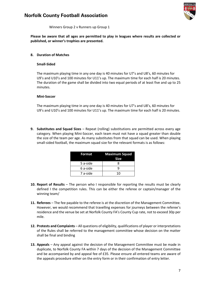

Winners Group 2 v Runners up Group 1

**Please be aware that all ages are permitted to play in leagues where results are collected or published, or winner's trophies are presented.**

### **8. Duration of Matches**

#### **Small-Sided**

The maximum playing time in any one day is 40 minutes for U7's and U8's, 60 minutes for U9's and U10's and 100 minutes for U11's up. The maximum time for each half is 20 minutes. The duration of the game shall be divided into two equal periods of at least five and up to 25 minutes.

#### **Mini-Soccer**

The maximum playing time in any one day is 40 minutes for U7's and U8's, 60 minutes for U9's and U10's and 100 minutes for U11's up. The maximum time for each half is 20 minutes.

**9. Substitutes and Squad Sizes** – Repeat (rolling) substitutions are permitted across every age category. When playing Mini-Soccer, each team must not have a squad greater than double the size of the team per age. As many substitutes from that squad can be used. When playing small-sided football, the maximum squad size for the relevant formats is as follows:

| Format   | <b>Maximum Squad</b><br>Size |
|----------|------------------------------|
| 5 a-side | x                            |
| 6 a-side | Q                            |
| 7 a-side | 10                           |

- **10. Report of Results** The person who I responsible for reporting the results must be clearly defined I the competition rules. This can be either the referee or captain/manager of the winning team/
- **11. Referees** The fee payable to the referee is at the discretion of the Management Committee. However, we would recommend that travelling expenses for journeys between the referee's residence and the venue be set at Norfolk County FA's County Cup rate, not to exceed 30p per mile.
- **12. Protests and Complaints** All questions of eligibility, qualifications of player or interpretations of the Rules shall be referred to the management committee whose decision on the matter shall be final and binding
- **13. Appeals** Any appeal against the decision of the Management Committee must be made in duplicate, to Norfolk County FA within 7 days of the decision of the Management Committee and be accompanied by and appeal fee of £35. Please ensure all entered teams are aware of the appeals procedure either on the entry form or in their confirmation of entry letter.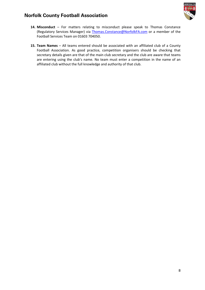

- **14. Misconduct** For matters relating to misconduct please speak to Thomas Constance (Regulatory Services Manager) via [Thomas.Constance@NorfolkFA.com](mailto:Thomas.Constance@NorfolkFA.com) or a member of the Football Services Team on 01603 704050.
- **15. Team Names** All teams entered should be associated with an affiliated club of a County Football Association. As good practice, competition organisers should be checking that secretary details given are that of the main club secretary and the club are aware that teams are entering using the club's name. No team must enter a competition in the name of an affiliated club without the full knowledge and authority of that club.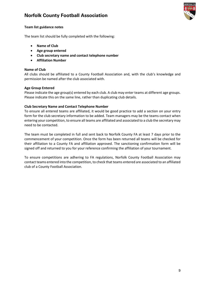

### **Team list guidance notes**

The team list should be fully completed with the following:

- **Name of Club**
- **Age group entered**
- **Club secretary name and contact telephone number**
- **Affiliation Number**

### **Name of Club**

All clubs should be affiliated to a County Football Association and, with the club's knowledge and permission be named after the club associated with.

### **Age Group Entered**

Please indicate the age group(s) entered by each club. A club may enter teams at different age groups. Please indicate this on the same line, rather than duplicating club details.

### **Club Secretary Name and Contact Telephone Number**

To ensure all entered teams are affiliated, it would be good practice to add a section on your entry form for the club secretary information to be added. Team managers may be the teams contact when entering your competition, to ensure all teams are affiliated and associated to a club the secretary may need to be contacted.

The team must be completed in full and sent back to Norfolk County FA at least 7 days prior to the commencement of your competition. Once the form has been returned all teams will be checked for their affiliation to a County FA and affiliation approved. The sanctioning confirmation form will be signed off and returned to you for your reference confirming the affiliation of your tournament.

To ensure competitions are adhering to FA regulations, Norfolk County Football Association may contact teams entered into the competition, to check that teams entered are associated to an affiliated club of a County Football Association.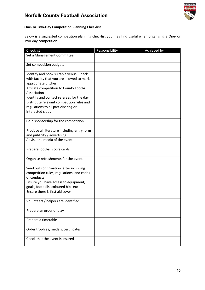

## **One- or Two-Day Competition Planning Checklist**

Below is a suggested competition planning checklist you may find useful when organising a One- or Two-day competition.

| Checklist                                                                                                    | Responsibility | Achieved by |
|--------------------------------------------------------------------------------------------------------------|----------------|-------------|
| Set a Management Committee                                                                                   |                |             |
| Set competition budgets                                                                                      |                |             |
| Identify and book suitable venue. Check<br>with facility that you are allowed to mark<br>appropriate pitches |                |             |
| Affiliate competition to County Football<br>Association                                                      |                |             |
| Identify and contact referees for the day                                                                    |                |             |
| Distribute relevant competition rules and<br>regulations to all participating or<br>interested clubs         |                |             |
| Gain sponsorship for the competition                                                                         |                |             |
| Produce all literature including entry form<br>and publicity / advertising                                   |                |             |
| Advise the media of the event                                                                                |                |             |
| Prepare football score cards                                                                                 |                |             |
| Organise refreshments for the event                                                                          |                |             |
| Send out confirmation letter including<br>competition rules, regulations, and codes<br>of conducts           |                |             |
| Ensure you have access to equipment;<br>goals, footballs, coloured bibs etc                                  |                |             |
| Ensure there is first aid cover                                                                              |                |             |
| Volunteers / helpers are identified                                                                          |                |             |
| Prepare an order of play                                                                                     |                |             |
| Prepare a timetable                                                                                          |                |             |
| Order trophies, medals, certificates                                                                         |                |             |
| Check that the event is insured                                                                              |                |             |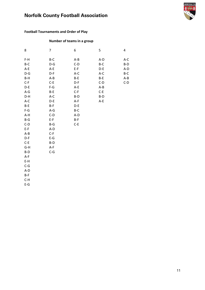

## **Football Tournaments and Order of Play**

## **Number of teams in a group**

| 8                                                                                                                                                                      | $\overline{7}$                                                                                              | 6                                                                    | 5                                                              | 4                                                  |
|------------------------------------------------------------------------------------------------------------------------------------------------------------------------|-------------------------------------------------------------------------------------------------------------|----------------------------------------------------------------------|----------------------------------------------------------------|----------------------------------------------------|
| $F-H$<br>B-C<br>$A-E$<br>$D-G$<br>$B-H$<br>$C-F$<br>$D-E$<br>$A-G$                                                                                                     | B-C<br>$D-G$<br>$A-E$<br>$D-F$<br>$A - B$<br>$C-E$<br>$F-G$<br>B-E                                          | $A - B$<br>$C-D$<br>$E-F$<br>$A-C$<br>$B-E$<br>D-F<br>$A-E$<br>$C-F$ | A-D<br>B-C<br>D-E<br>A-C<br>$B-E$<br>$C-D$<br>$A - B$<br>$C-E$ | $A-C$<br>$B-D$<br>$A-D$<br>B-C<br>$A - B$<br>$C-D$ |
| D-H<br>$A-C$<br>B-E<br>$F-G$<br>A-H<br>$B-G$<br>$C-D$<br>$E-F$<br>$A - B$<br>D-F<br>$C-E$<br>G-H<br>$B-D$<br>$A-F$<br>$E-H$<br>$C-G$<br>A-D<br>$B-F$<br>$C-H$<br>$E-G$ | $A-C$<br>$D-E$<br>$B-F$<br>$A-G$<br>$C-D$<br>$E-F$<br>B-G<br>A-D<br>$C-F$<br>$E-G$<br>$B-D$<br>A-F<br>$C-G$ | $B-D$<br>$A-F$<br>D-E<br>B-C<br>A-D<br>$B-F$<br>$C-E$                | $B-D$<br>$A-E$                                                 |                                                    |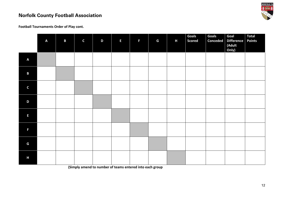

**Football Tournaments Order of Play cont.**

|                         | $\pmb{\mathsf{A}}$ | $\mathbf{B}$ | $\mathsf C$ | D | $\mathsf E$ | F | G | H | <b>Goals</b><br><b>Scored</b> | <b>Goals</b><br><b>Conceded</b> | Goal<br><b>Difference</b><br>(Adult<br>Only) | <b>Total</b><br><b>Points</b> |
|-------------------------|--------------------|--------------|-------------|---|-------------|---|---|---|-------------------------------|---------------------------------|----------------------------------------------|-------------------------------|
| $\overline{\mathsf{A}}$ |                    |              |             |   |             |   |   |   |                               |                                 |                                              |                               |
| $\mathbf B$             |                    |              |             |   |             |   |   |   |                               |                                 |                                              |                               |
| $\mathsf C$             |                    |              |             |   |             |   |   |   |                               |                                 |                                              |                               |
| $\mathbf D$             |                    |              |             |   |             |   |   |   |                               |                                 |                                              |                               |
| $\mathsf E$             |                    |              |             |   |             |   |   |   |                               |                                 |                                              |                               |
| F                       |                    |              |             |   |             |   |   |   |                               |                                 |                                              |                               |
| $\mathsf G$             |                    |              |             |   |             |   |   |   |                               |                                 |                                              |                               |
| H                       |                    |              |             |   |             |   |   |   |                               |                                 |                                              |                               |

**(Simply amend to number of teams entered into each group**